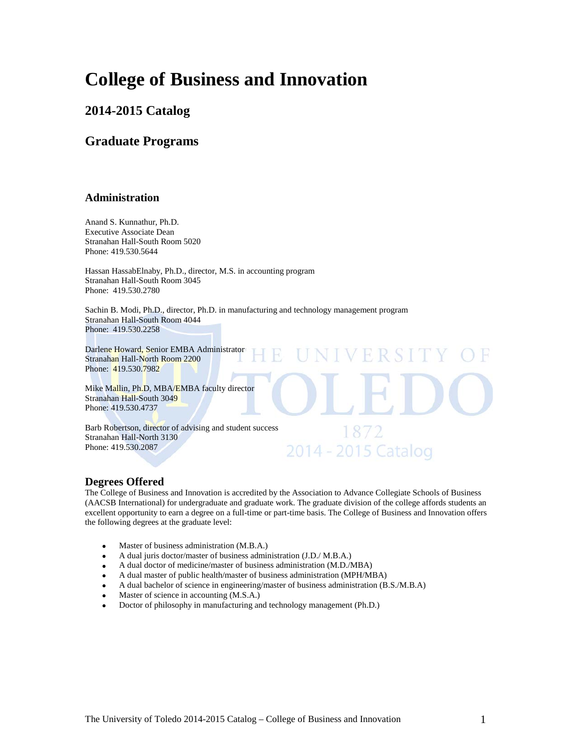## **College of Business and Innovation**

### **2014-2015 Catalog**

### **Graduate Programs**

#### **Administration**

Anand S. Kunnathur, Ph.D. Executive Associate Dean Stranahan Hall-South Room 5020 Phone: 419.530.5644

Hassan HassabElnaby, Ph.D., director, M.S. in accounting program Stranahan Hall-South Room 3045 Phone: 419.530.2780

Sachin B. Modi, Ph.D., director, Ph.D. in manufacturing and technology management program Stranahan Hall-South Room 4044 Phone: 419.530.2258

Darlene Howard, Senior EMBA Administrator Stranahan Hall-North Room 2200 Phone: 419.530.7982

Mike Mallin, Ph.D, MBA/EMBA faculty director Stranahan Hall-South 3049 Phone: 419.530.4737

Barb Robertson, director of advising and student success Stranahan Hall-North 3130 Phone: 419.530.2087

#### **Degrees Offered**

The College of Business and Innovation is accredited by the Association to Advance Collegiate Schools of Business (AACSB International) for undergraduate and graduate work. The graduate division of the college affords students an excellent opportunity to earn a degree on a full-time or part-time basis. The College of Business and Innovation offers the following degrees at the graduate level:

R S I

1872 2014 - 2015 Catalog

- Master of business administration (M.B.A.)
- A dual juris doctor/master of business administration (J.D./ M.B.A.)
- A dual doctor of medicine/master of business administration (M.D./MBA)
- A dual master of public health/master of business administration (MPH/MBA)
- A dual bachelor of science in engineering/master of business administration (B.S./M.B.A)
- Master of science in accounting (M.S.A.)
- Doctor of philosophy in manufacturing and technology management (Ph.D.)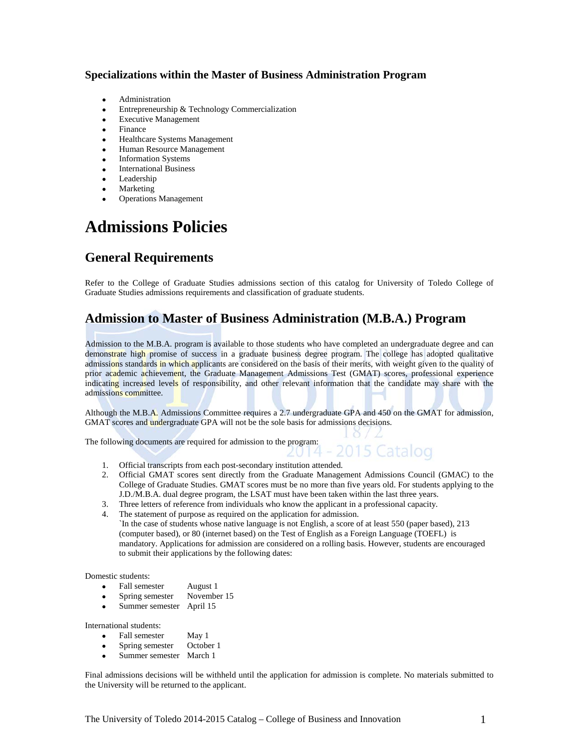#### **Specializations within the Master of Business Administration Program**

- Administration
- Entrepreneurship & Technology Commercialization
- **Executive Management**
- **Finance**
- Healthcare Systems Management
- Human Resource Management
- Information Systems
- International Business
- **Leadership**
- **Marketing**
- Operations Management

## **Admissions Policies**

### **General Requirements**

Refer to the College of Graduate Studies admissions section of this catalog for University of Toledo College of Graduate Studies admissions requirements and classification of graduate students.

### **Admission to Master of Business Administration (M.B.A.) Program**

Admission to the M.B.A. program is available to those students who have completed an undergraduate degree and can demonstrate high promise of success in a graduate business degree program. The college has adopted qualitative admissions standards in which applicants are considered on the basis of their merits, with weight given to the quality of prior academic achievement, the Graduate Management Admissions Test (GMAT) scores, professional experience indicating increased levels of responsibility, and other relevant information that the candidate may share with the admissions committee.

Although the M.B.A. Admissions Committee requires a 2.7 undergraduate GPA and 450 on the GMAT for admission, GMAT scores and undergraduate GPA will not be the sole basis for admissions decisions.

The following documents are required for admission to the program:

- 1. Official transcripts from each post-secondary institution attended.
- 2. Official GMAT scores sent directly from the Graduate Management Admissions Council (GMAC) to the College of Graduate Studies. GMAT scores must be no more than five years old. For students applying to the J.D./M.B.A. dual degree program, the LSAT must have been taken within the last three years.

2015 Catalog

- 3. Three letters of reference from individuals who know the applicant in a professional capacity.
- 4. The statement of purpose as required on the application for admission.
- `In the case of students whose native language is not English, a score of at least 550 (paper based), 213 (computer based), or 80 (internet based) on the Test of English as a Foreign Language (TOEFL) is mandatory. Applications for admission are considered on a rolling basis. However, students are encouraged to submit their applications by the following dates:

Domestic students:

- Fall semester August 1
- Spring semester November 15
- Summer semester April 15

International students:

- 
- Fall semester May 1<br>• Spring semester October 1 Spring semester
- Summer semester March 1

Final admissions decisions will be withheld until the application for admission is complete. No materials submitted to the University will be returned to the applicant.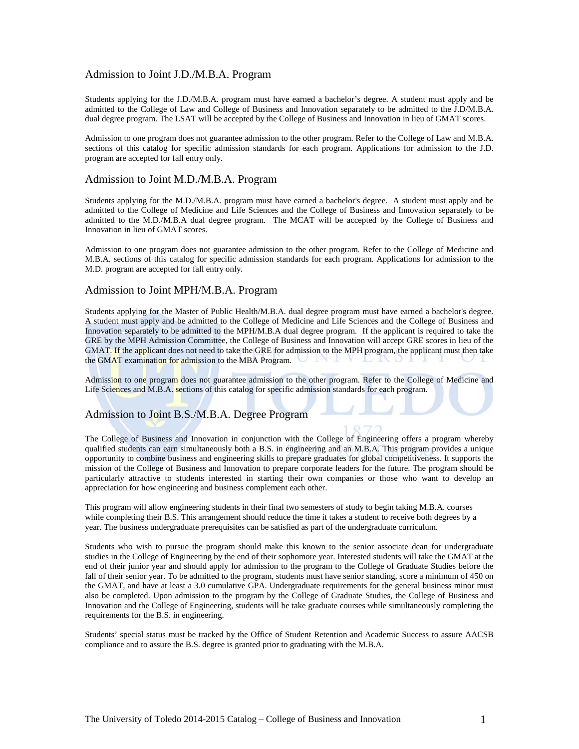#### Admission to Joint J.D./M.B.A. Program

Students applying for the J.D./M.B.A. program must have earned a bachelor's degree. A student must apply and be admitted to the College of Law and College of Business and Innovation separately to be admitted to the J.D/M.B.A. dual degree program. The LSAT will be accepted by the College of Business and Innovation in lieu of GMAT scores.

Admission to one program does not guarantee admission to the other program. Refer to the College of Law and M.B.A. sections of this catalog for specific admission standards for each program. Applications for admission to the J.D. program are accepted for fall entry only.

#### Admission to Joint M.D./M.B.A. Program

Students applying for the M.D./M.B.A. program must have earned a bachelor's degree. A student must apply and be admitted to the College of Medicine and Life Sciences and the College of Business and Innovation separately to be admitted to the M.D./M.B.A dual degree program. The MCAT will be accepted by the College of Business and Innovation in lieu of GMAT scores.

Admission to one program does not guarantee admission to the other program. Refer to the College of Medicine and M.B.A. sections of this catalog for specific admission standards for each program. Applications for admission to the M.D. program are accepted for fall entry only.

#### Admission to Joint MPH/M.B.A. Program

Students applying for the Master of Public Health/M.B.A. dual degree program must have earned a bachelor's degree. A student must apply and be admitted to the College of Medicine and Life Sciences and the College of Business and Innovation separately to be admitted to the MPH/M.B.A dual degree program. If the applicant is required to take the GRE by the MPH Admission Committee, the College of Business and Innovation will accept GRE scores in lieu of the GMAT. If the applicant does not need to take the GRE for admission to the MPH program, the applicant must then take the GMAT examination for admission to the MBA Program.

Admission to one program does not guarantee admission to the other program. Refer to the College of Medicine and Life Sciences and M.B.A. sections of this catalog for specific admission standards for each program.

#### Admission to Joint B.S./M.B.A. Degree Program

The College of Business and Innovation in conjunction with the College of Engineering offers a program whereby qualified students can earn simultaneously both a B.S. in engineering and an M.B.A. This program provides a unique opportunity to combine business and engineering skills to prepare graduates for global competitiveness. It supports the mission of the College of Business and Innovation to prepare corporate leaders for the future. The program should be particularly attractive to students interested in starting their own companies or those who want to develop an appreciation for how engineering and business complement each other.

This program will allow engineering students in their final two semesters of study to begin taking M.B.A. courses while completing their B.S. This arrangement should reduce the time it takes a student to receive both degrees by a year. The business undergraduate prerequisites can be satisfied as part of the undergraduate curriculum.

Students who wish to pursue the program should make this known to the senior associate dean for undergraduate studies in the College of Engineering by the end of their sophomore year. Interested students will take the GMAT at the end of their junior year and should apply for admission to the program to the College of Graduate Studies before the fall of their senior year. To be admitted to the program, students must have senior standing, score a minimum of 450 on the GMAT, and have at least a 3.0 cumulative GPA. Undergraduate requirements for the general business minor must also be completed. Upon admission to the program by the College of Graduate Studies, the College of Business and Innovation and the College of Engineering, students will be take graduate courses while simultaneously completing the requirements for the B.S. in engineering.

Students' special status must be tracked by the Office of Student Retention and Academic Success to assure AACSB compliance and to assure the B.S. degree is granted prior to graduating with the M.B.A.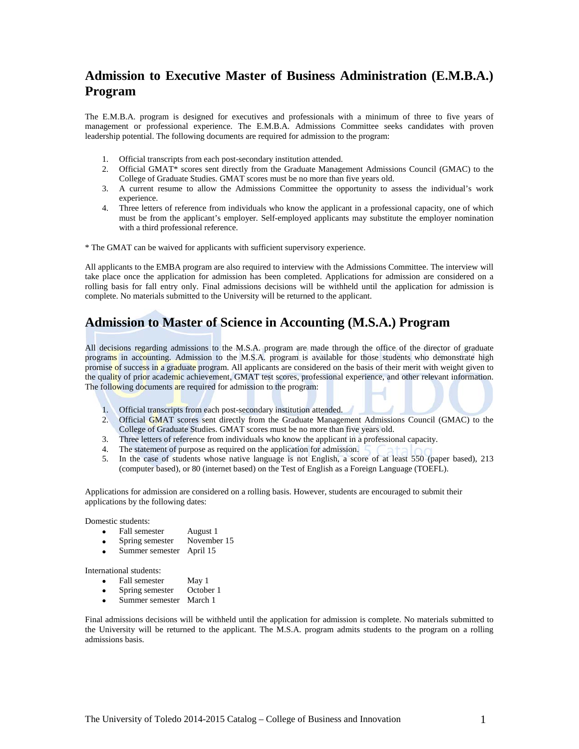### **Admission to Executive Master of Business Administration (E.M.B.A.) Program**

The E.M.B.A. program is designed for executives and professionals with a minimum of three to five years of management or professional experience. The E.M.B.A. Admissions Committee seeks candidates with proven leadership potential. The following documents are required for admission to the program:

- 1. Official transcripts from each post-secondary institution attended.
- 2. Official GMAT\* scores sent directly from the Graduate Management Admissions Council (GMAC) to the College of Graduate Studies. GMAT scores must be no more than five years old.
- 3. A current resume to allow the Admissions Committee the opportunity to assess the individual's work experience.
- 4. Three letters of reference from individuals who know the applicant in a professional capacity, one of which must be from the applicant's employer. Self-employed applicants may substitute the employer nomination with a third professional reference.

\* The GMAT can be waived for applicants with sufficient supervisory experience.

All applicants to the EMBA program are also required to interview with the Admissions Committee. The interview will take place once the application for admission has been completed. Applications for admission are considered on a rolling basis for fall entry only. Final admissions decisions will be withheld until the application for admission is complete. No materials submitted to the University will be returned to the applicant.

### **Admission to Master of Science in Accounting (M.S.A.) Program**

All decisions regarding admissions to the M.S.A. program are made through the office of the director of graduate programs in accounting. Admission to the M.S.A. program is available for those students who demonstrate high promise of success in a graduate program. All applicants are considered on the basis of their merit with weight given to the quality of prior academic achievement, GMAT test scores, professional experience, and other relevant information. The following documents are required for admission to the program:

- 1. Official transcripts from each post-secondary institution attended.
- 2. Official GMAT scores sent directly from the Graduate Management Admissions Council (GMAC) to the College of Graduate Studies. GMAT scores must be no more than five years old.
- 3. Three letters of reference from individuals who know the applicant in a professional capacity.
- 4. The statement of purpose as required on the application for admission.
- 5. In the case of students whose native language is not English, a score of at least 550 (paper based), 213 (computer based), or 80 (internet based) on the Test of English as a Foreign Language (TOEFL).

Applications for admission are considered on a rolling basis. However, students are encouraged to submit their applications by the following dates:

Domestic students:

- Fall semester August 1
- Spring semester November 15
- Summer semester April 15

International students:

- Fall semester May 1<br>• Spring semester October 1
- Spring semester
- Summer semester March 1

Final admissions decisions will be withheld until the application for admission is complete. No materials submitted to the University will be returned to the applicant. The M.S.A. program admits students to the program on a rolling admissions basis.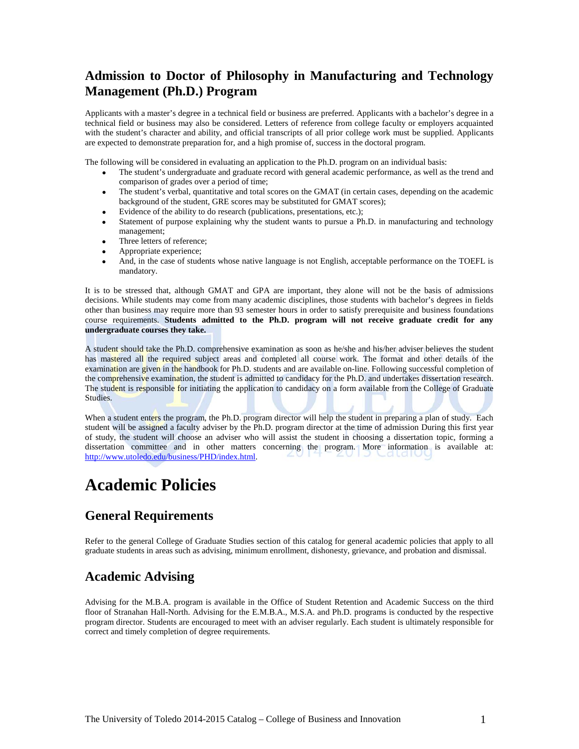### **Admission to Doctor of Philosophy in Manufacturing and Technology Management (Ph.D.) Program**

Applicants with a master's degree in a technical field or business are preferred. Applicants with a bachelor's degree in a technical field or business may also be considered. Letters of reference from college faculty or employers acquainted with the student's character and ability, and official transcripts of all prior college work must be supplied. Applicants are expected to demonstrate preparation for, and a high promise of, success in the doctoral program.

The following will be considered in evaluating an application to the Ph.D. program on an individual basis:

- The student's undergraduate and graduate record with general academic performance, as well as the trend and comparison of grades over a period of time;
- The student's verbal, quantitative and total scores on the GMAT (in certain cases, depending on the academic background of the student, GRE scores may be substituted for GMAT scores);
- Evidence of the ability to do research (publications, presentations, etc.);
- Statement of purpose explaining why the student wants to pursue a Ph.D. in manufacturing and technology management;
- Three letters of reference;
- Appropriate experience;
- And, in the case of students whose native language is not English, acceptable performance on the TOEFL is mandatory.

It is to be stressed that, although GMAT and GPA are important, they alone will not be the basis of admissions decisions. While students may come from many academic disciplines, those students with bachelor's degrees in fields other than business may require more than 93 semester hours in order to satisfy prerequisite and business foundations course requirements. **Students admitted to the Ph.D. program will not receive graduate credit for any undergraduate courses they take.**

A student should take the Ph.D. comprehensive examination as soon as he/she and his/her adviser believes the student has mastered all the required subject areas and completed all course work. The format and other details of the examination are given in the handbook for Ph.D. students and are available on-line. Following successful completion of the comprehensive examination, the student is admitted to candidacy for the Ph.D. and undertakes dissertation research. The student is responsible for initiating the application to candidacy on a form available from the College of Graduate Studies.

When a student enters the program, the Ph.D. program director will help the student in preparing a plan of study. Each student will be assigned a faculty adviser by the Ph.D. program director at the time of admission During this first year of study, the student will choose an adviser who will assist the student in choosing a dissertation topic, forming a dissertation committee and in other matters concerning the program. More information is available at: [http://www.utoledo.edu/business/PHD/index.html.](http://www.utoledo.edu/business/PHD/index.html)

## **Academic Policies**

### **General Requirements**

Refer to the general College of Graduate Studies section of this catalog for general academic policies that apply to all graduate students in areas such as advising, minimum enrollment, dishonesty, grievance, and probation and dismissal.

### **Academic Advising**

Advising for the M.B.A. program is available in the Office of Student Retention and Academic Success on the third floor of Stranahan Hall-North. Advising for the E.M.B.A., M.S.A. and Ph.D. programs is conducted by the respective program director. Students are encouraged to meet with an adviser regularly. Each student is ultimately responsible for correct and timely completion of degree requirements.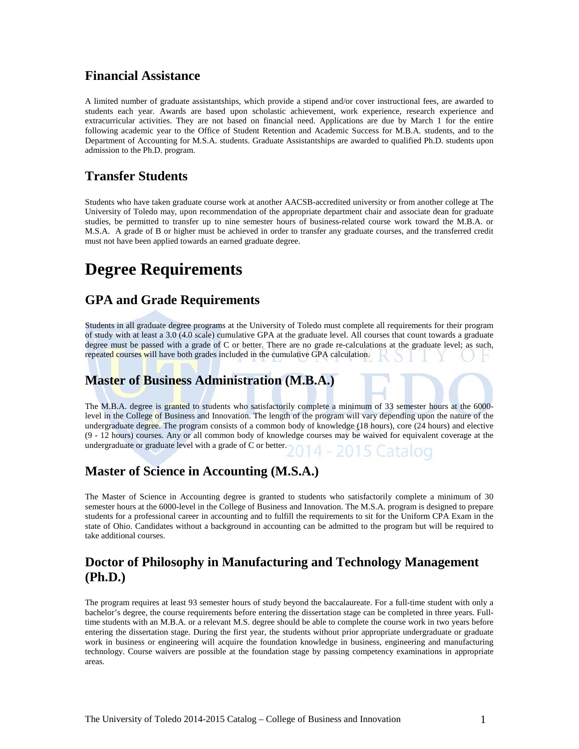### **Financial Assistance**

A limited number of graduate assistantships, which provide a stipend and/or cover instructional fees, are awarded to students each year. Awards are based upon scholastic achievement, work experience, research experience and extracurricular activities. They are not based on financial need. Applications are due by March 1 for the entire following academic year to the Office of Student Retention and Academic Success for M.B.A. students, and to the Department of Accounting for M.S.A. students. Graduate Assistantships are awarded to qualified Ph.D. students upon admission to the Ph.D. program.

### **Transfer Students**

Students who have taken graduate course work at another AACSB-accredited university or from another college at The University of Toledo may, upon recommendation of the appropriate department chair and associate dean for graduate studies, be permitted to transfer up to nine semester hours of business-related course work toward the M.B.A. or M.S.A. A grade of B or higher must be achieved in order to transfer any graduate courses, and the transferred credit must not have been applied towards an earned graduate degree.

## **Degree Requirements**

### **GPA and Grade Requirements**

Students in all graduate degree programs at the University of Toledo must complete all requirements for their program of study with at least a 3.0 (4.0 scale) cumulative GPA at the graduate level. All courses that count towards a graduate degree must be passed with a grade of C or better. There are no grade re-calculations at the graduate level; as such, repeated courses will have both grades included in the cumulative GPA calculation.

### **Master of Business Administration (M.B.A.)**

The M.B.A. degree is granted to students who satisfactorily complete a minimum of 33 semester hours at the 6000 level in the College of Business and Innovation. The length of the program will vary depending upon the nature of the undergraduate degree. The program consists of a common body of knowledge (18 hours), core (24 hours) and elective (9 - 12 hours) courses. Any or all common body of knowledge courses may be waived for equivalent coverage at the undergraduate or graduate level with a grade of C or better.  $14 - 2015$ 

### **Master of Science in Accounting (M.S.A.)**

The Master of Science in Accounting degree is granted to students who satisfactorily complete a minimum of 30 semester hours at the 6000-level in the College of Business and Innovation. The M.S.A. program is designed to prepare students for a professional career in accounting and to fulfill the requirements to sit for the Uniform CPA Exam in the state of Ohio. Candidates without a background in accounting can be admitted to the program but will be required to take additional courses.

### **Doctor of Philosophy in Manufacturing and Technology Management (Ph.D.)**

The program requires at least 93 semester hours of study beyond the baccalaureate. For a full-time student with only a bachelor's degree, the course requirements before entering the dissertation stage can be completed in three years. Fulltime students with an M.B.A. or a relevant M.S. degree should be able to complete the course work in two years before entering the dissertation stage. During the first year, the students without prior appropriate undergraduate or graduate work in business or engineering will acquire the foundation knowledge in business, engineering and manufacturing technology. Course waivers are possible at the foundation stage by passing competency examinations in appropriate areas.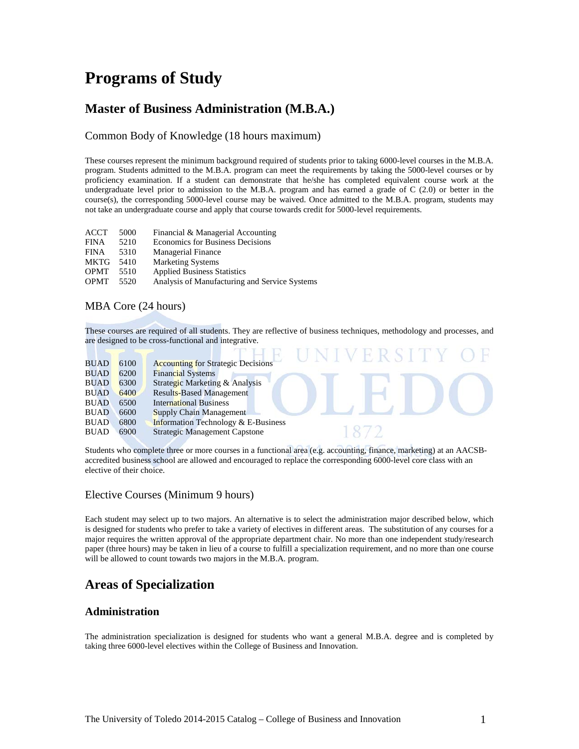## **Programs of Study**

### **Master of Business Administration (M.B.A.)**

#### Common Body of Knowledge (18 hours maximum)

These courses represent the minimum background required of students prior to taking 6000-level courses in the M.B.A. program. Students admitted to the M.B.A. program can meet the requirements by taking the 5000-level courses or by proficiency examination. If a student can demonstrate that he/she has completed equivalent course work at the undergraduate level prior to admission to the M.B.A. program and has earned a grade of C (2.0) or better in the course(s), the corresponding 5000-level course may be waived. Once admitted to the M.B.A. program, students may not take an undergraduate course and apply that course towards credit for 5000-level requirements.

| ACCT        | 5000 | Financial & Managerial Accounting             |
|-------------|------|-----------------------------------------------|
| <b>FINA</b> | 5210 | <b>Economics for Business Decisions</b>       |
| <b>FINA</b> | 5310 | <b>Managerial Finance</b>                     |
| <b>MKTG</b> | 5410 | <b>Marketing Systems</b>                      |
| <b>OPMT</b> | 5510 | <b>Applied Business Statistics</b>            |
| <b>OPMT</b> | 5520 | Analysis of Manufacturing and Service Systems |
|             |      |                                               |

#### MBA Core (24 hours)

These courses are required of all students. They are reflective of business techniques, methodology and processes, and are designed to be cross-functional and integrative.

| <b>BUAD</b> | 6100 | <b>Accounting for Strategic Decisions</b>      |
|-------------|------|------------------------------------------------|
| <b>BUAD</b> | 6200 | <b>Financial Systems</b>                       |
| <b>BUAD</b> | 6300 | Strategic Marketing & Analysis                 |
| <b>BUAD</b> | 6400 | <b>Results-Based Management</b>                |
| <b>BUAD</b> | 6500 | <b>International Business</b>                  |
| <b>BUAD</b> | 6600 | Supply Chain Management                        |
| <b>BUAD</b> | 6800 | <b>Information Technology &amp; E-Business</b> |
| <b>BUAD</b> | 6900 | <b>Strategic Management Capstone</b>           |
|             |      |                                                |

Students who complete three or more courses in a functional area (e.g. accounting, finance, marketing) at an AACSBaccredited business school are allowed and encouraged to replace the corresponding 6000-level core class with an elective of their choice.

#### Elective Courses (Minimum 9 hours)

Each student may select up to two majors. An alternative is to select the administration major described below, which is designed for students who prefer to take a variety of electives in different areas. The substitution of any courses for a major requires the written approval of the appropriate department chair. No more than one independent study/research paper (three hours) may be taken in lieu of a course to fulfill a specialization requirement, and no more than one course will be allowed to count towards two majors in the M.B.A. program.

### **Areas of Specialization**

#### **Administration**

The administration specialization is designed for students who want a general M.B.A. degree and is completed by taking three 6000-level electives within the College of Business and Innovation.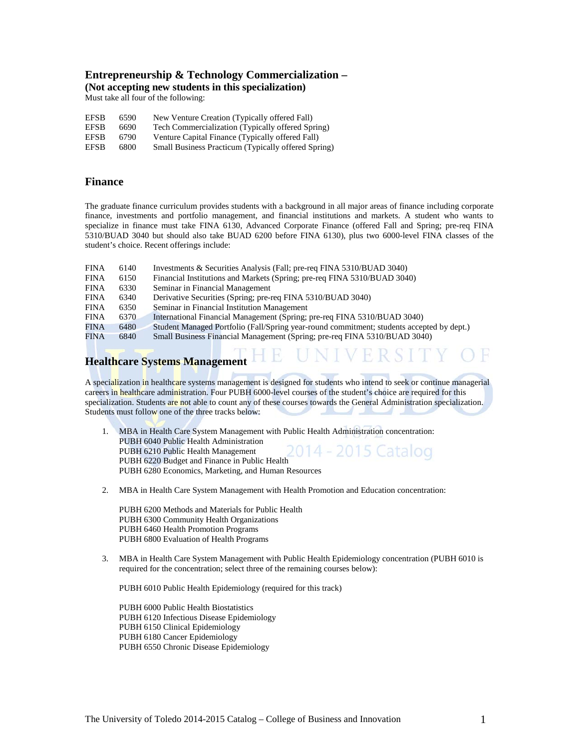#### **Entrepreneurship & Technology Commercialization – (Not accepting new students in this specialization)**

Must take all four of the following:

| <b>EFSB</b> | 6590 | New Venture Creation (Typically offered Fall)       |
|-------------|------|-----------------------------------------------------|
| <b>EFSB</b> | 6690 | Tech Commercialization (Typically offered Spring)   |
| <b>EFSB</b> | 6790 | Venture Capital Finance (Typically offered Fall)    |
| <b>EFSB</b> | 6800 | Small Business Practicum (Typically offered Spring) |

#### **Finance**

The graduate finance curriculum provides students with a background in all major areas of finance including corporate finance, investments and portfolio management, and financial institutions and markets. A student who wants to specialize in finance must take FINA 6130, Advanced Corporate Finance (offered Fall and Spring; pre-req FINA 5310/BUAD 3040 but should also take BUAD 6200 before FINA 6130), plus two 6000-level FINA classes of the student's choice. Recent offerings include:

| <b>FINA</b> | 6140 | Investments & Securities Analysis (Fall; pre-req FINA 5310/BUAD 3040)                     |
|-------------|------|-------------------------------------------------------------------------------------------|
| <b>FINA</b> | 6150 | Financial Institutions and Markets (Spring; pre-req FINA 5310/BUAD 3040)                  |
| <b>FINA</b> | 6330 | Seminar in Financial Management                                                           |
| <b>FINA</b> | 6340 | Derivative Securities (Spring; pre-req FINA 5310/BUAD 3040)                               |
| <b>FINA</b> | 6350 | Seminar in Financial Institution Management                                               |
| <b>FINA</b> | 6370 | International Financial Management (Spring; pre-req FINA 5310/BUAD 3040)                  |
| FINA        | 6480 | Student Managed Portfolio (Fall/Spring year-round commitment; students accepted by dept.) |
| FINA        | 6840 | Small Business Financial Management (Spring; pre-req FINA 5310/BUAD 3040)                 |

# **Healthcare Systems Management**

A specialization in healthcare systems management is designed for students who intend to seek or continue managerial careers in healthcare administration. Four PUBH 6000-level courses of the student's choice are required for this specialization. Students are not able to count any of these courses towards the General Administration specialization. Students must follow one of the three tracks below:

HE UNIVERSITY

- 1. MBA in Health Care System Management with Public Health Administration concentration: PUBH 6040 Public Health Administration 014 - 2015 Catalog PUBH 6210 Public Health Management PUBH 6220 Budget and Finance in Public Health PUBH 6280 Economics, Marketing, and Human Resources
- 2. MBA in Health Care System Management with Health Promotion and Education concentration:

PUBH 6200 Methods and Materials for Public Health PUBH 6300 Community Health Organizations PUBH 6460 Health Promotion Programs PUBH 6800 Evaluation of Health Programs

3. MBA in Health Care System Management with Public Health Epidemiology concentration (PUBH 6010 is required for the concentration; select three of the remaining courses below):

PUBH 6010 Public Health Epidemiology (required for this track)

PUBH 6000 Public Health Biostatistics PUBH 6120 Infectious Disease Epidemiology PUBH 6150 Clinical Epidemiology PUBH 6180 Cancer Epidemiology PUBH 6550 Chronic Disease Epidemiology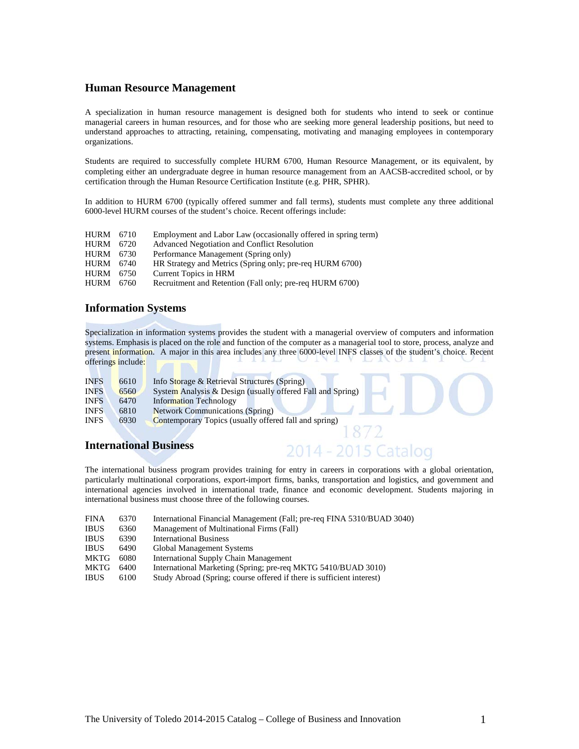#### **Human Resource Management**

A specialization in human resource management is designed both for students who intend to seek or continue managerial careers in human resources, and for those who are seeking more general leadership positions, but need to understand approaches to attracting, retaining, compensating, motivating and managing employees in contemporary organizations.

Students are required to successfully complete HURM 6700, Human Resource Management, or its equivalent, by completing either an undergraduate degree in human resource management from an AACSB-accredited school, or by certification through the Human Resource Certification Institute (e.g. PHR, SPHR).

In addition to HURM 6700 (typically offered summer and fall terms), students must complete any three additional 6000-level HURM courses of the student's choice. Recent offerings include:

| HURM        | 6710 | Employment and Labor Law (occasionally offered in spring term) |
|-------------|------|----------------------------------------------------------------|
| <b>HURM</b> | 6720 | Advanced Negotiation and Conflict Resolution                   |
| <b>HURM</b> | 6730 | Performance Management (Spring only)                           |
| <b>HURM</b> | 6740 | HR Strategy and Metrics (Spring only; pre-req HURM 6700)       |
| <b>HURM</b> | 6750 | Current Topics in HRM                                          |
| <b>HURM</b> | 6760 | Recruitment and Retention (Fall only; pre-req HURM 6700)       |
|             |      |                                                                |

#### **Information Systems**

Specialization in information systems provides the student with a managerial overview of computers and information systems. Emphasis is placed on the role and function of the computer as a managerial tool to store, process, analyze and present information. A major in this area includes any three 6000-level INFS classes of the student's choice. Recent offerings include:  $\sim$ 

| <b>INFS</b> | 6610 | Info Storage & Retrieval Structures (Spring)               |
|-------------|------|------------------------------------------------------------|
| <b>INFS</b> | 6560 | System Analysis & Design (usually offered Fall and Spring) |
| <b>INFS</b> | 6470 | <b>Information Technology</b>                              |
| <b>INFS</b> | 6810 | <b>Network Communications (Spring)</b>                     |
| <b>INFS</b> | 6930 | Contemporary Topics (usually offered fall and spring)      |
|             |      |                                                            |
|             |      |                                                            |

#### **International Business**

The international business program provides training for entry in careers in corporations with a global orientation, particularly multinational corporations, export-import firms, banks, transportation and logistics, and government and international agencies involved in international trade, finance and economic development. Students majoring in international business must choose three of the following courses.

2014 - 2015 Catalog

| <b>FINA</b> | 6370 | International Financial Management (Fall; pre-req FINA 5310/BUAD 3040) |
|-------------|------|------------------------------------------------------------------------|
| <b>IBUS</b> | 6360 | Management of Multinational Firms (Fall)                               |
| <b>IBUS</b> | 6390 | <b>International Business</b>                                          |
| <b>IBUS</b> | 6490 | Global Management Systems                                              |
| MKTG        | 6080 | International Supply Chain Management                                  |
| MKTG        | 6400 | International Marketing (Spring; pre-req MKTG 5410/BUAD 3010)          |

IBUS 6100 Study Abroad (Spring; course offered if there is sufficient interest)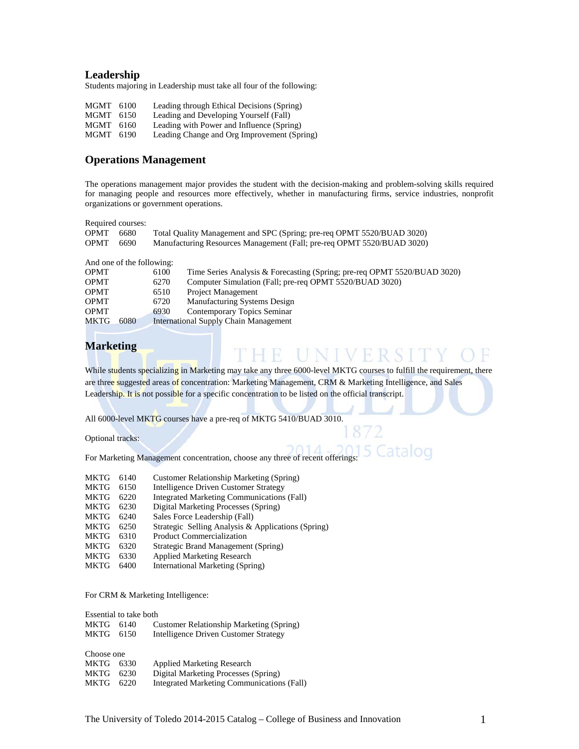#### **Leadership**

Students majoring in Leadership must take all four of the following:

| MGMT 6100 |      | Leading through Ethical Decisions (Spring)  |
|-----------|------|---------------------------------------------|
| MGMT      | 6150 | Leading and Developing Yourself (Fall)      |
| MGMT      | 6160 | Leading with Power and Influence (Spring)   |
| MGMT 6190 |      | Leading Change and Org Improvement (Spring) |

#### **Operations Management**

The operations management major provides the student with the decision-making and problem-solving skills required for managing people and resources more effectively, whether in manufacturing firms, service industries, nonprofit organizations or government operations.

Required courses:

| <b>OPMT</b> | 6680 | Total Quality Management and SPC (Spring; pre-req OPMT 5520/BUAD 3020) |
|-------------|------|------------------------------------------------------------------------|
| <b>OPMT</b> | 6690 | Manufacturing Resources Management (Fall; pre-req OPMT 5520/BUAD 3020) |

And one of the following:

| <b>OPMT</b> |      | 6100 | Time Series Analysis & Forecasting (Spring; pre-req OPMT 5520/BUAD 3020) |
|-------------|------|------|--------------------------------------------------------------------------|
| <b>OPMT</b> |      | 6270 | Computer Simulation (Fall; pre-req OPMT 5520/BUAD 3020)                  |
| <b>OPMT</b> |      | 6510 | Project Management                                                       |
| <b>OPMT</b> |      | 6720 | <b>Manufacturing Systems Design</b>                                      |
| <b>OPMT</b> |      | 6930 | Contemporary Topics Seminar                                              |
| MKTG.       | 6080 |      | International Supply Chain Management                                    |

#### **Marketing**

While students specializing in Marketing may take any three 6000-level MKTG courses to fulfill the requirement, there are three suggested areas of concentration: Marketing Management, CRM & Marketing Intelligence, and Sales Leadership. It is not possible for a specific concentration to be listed on the official transcript.

THE UNIVERSITY

atalog

All 6000-level MKTG courses have a pre-req of MKTG 5410/BUAD 3010.

Optional tracks:

For Marketing Management concentration, choose any three of recent offerings:

| <b>MKTG</b> | 6140 | Customer Relationship Marketing (Spring)           |
|-------------|------|----------------------------------------------------|
|             |      |                                                    |
| MKTG        | 6150 | Intelligence Driven Customer Strategy              |
| MKTG        | 6220 | <b>Integrated Marketing Communications (Fall)</b>  |
| MKTG        | 6230 | Digital Marketing Processes (Spring)               |
| MKTG        | 6240 | Sales Force Leadership (Fall)                      |
| MKTG        | 6250 | Strategic Selling Analysis & Applications (Spring) |
| MKTG        | 6310 | <b>Product Commercialization</b>                   |
| MKTG        | 6320 | Strategic Brand Management (Spring)                |

- MKTG 6320 Strategic Brand Management (Spring)
- MKTG 6330 Applied Marketing Research
- MKTG 6400 International Marketing (Spring)

For CRM & Marketing Intelligence:

Essential to take both<br>MKTG 6140 C MKTG 6140 Customer Relationship Marketing (Spring)<br>MKTG 6150 Intelligence Driven Customer Strategy Intelligence Driven Customer Strategy

| Choose one |      |                                            |
|------------|------|--------------------------------------------|
| MKTG       | 6330 | <b>Applied Marketing Research</b>          |
| MKTG       | 6230 | Digital Marketing Processes (Spring)       |
| MKTG       | 6220 | Integrated Marketing Communications (Fall) |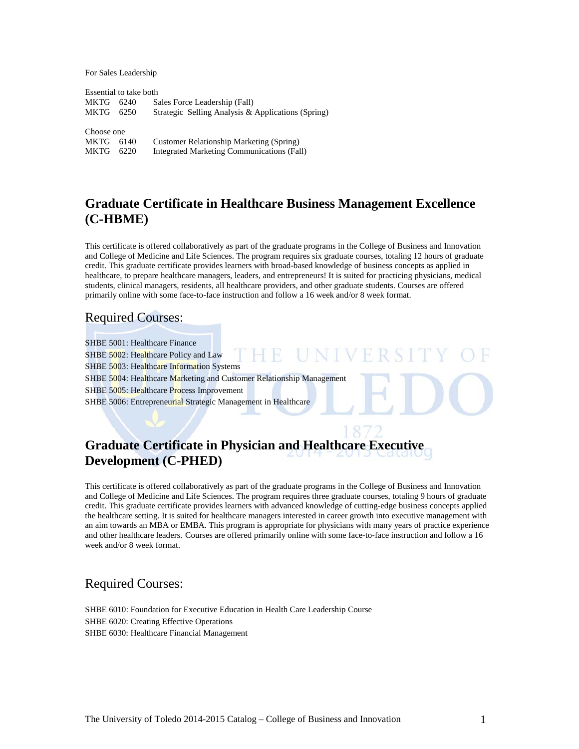For Sales Leadership

Essential to take both MKTG 6240 Sales Force Leadership (Fall) MKTG 6250 Strategic Selling Analysis & Applications (Spring) Choose one MKTG 6140 Customer Relationship Marketing (Spring) MKTG 6220 Integrated Marketing Communications (Fall)

### **Graduate Certificate in Healthcare Business Management Excellence (C-HBME)**

This certificate is offered collaboratively as part of the graduate programs in the College of Business and Innovation and College of Medicine and Life Sciences. The program requires six graduate courses, totaling 12 hours of graduate credit. This graduate certificate provides learners with broad-based knowledge of business concepts as applied in healthcare, to prepare healthcare managers, leaders, and entrepreneurs! It is suited for practicing physicians, medical students, clinical managers, residents, all healthcare providers, and other graduate students. Courses are offered primarily online with some face-to-face instruction and follow a 16 week and/or 8 week format.

### Required Courses:

SHBE 5001: Healthcare Finance UNIVE SHBE 5002: Healthcare Policy and Law -1 H SHBE 5003: Healthcare Information Systems SHBE 5004: Healthcare Marketing and Customer Relationship Management SHBE 5005: Healthcare Process Improvement SHBE 5006: Entrepreneurial Strategic Management in Healthcare

### **Graduate Certificate in Physician and Healthcare Executive Development (C-PHED)**

This certificate is offered collaboratively as part of the graduate programs in the College of Business and Innovation and College of Medicine and Life Sciences. The program requires three graduate courses, totaling 9 hours of graduate credit. This graduate certificate provides learners with advanced knowledge of cutting-edge business concepts applied the healthcare setting. It is suited for healthcare managers interested in career growth into executive management with an aim towards an MBA or EMBA. This program is appropriate for physicians with many years of practice experience and other healthcare leaders. Courses are offered primarily online with some face-to-face instruction and follow a 16 week and/or 8 week format.

### Required Courses:

SHBE 6010: Foundation for Executive Education in Health Care Leadership Course SHBE 6020: Creating Effective Operations SHBE 6030: Healthcare Financial Management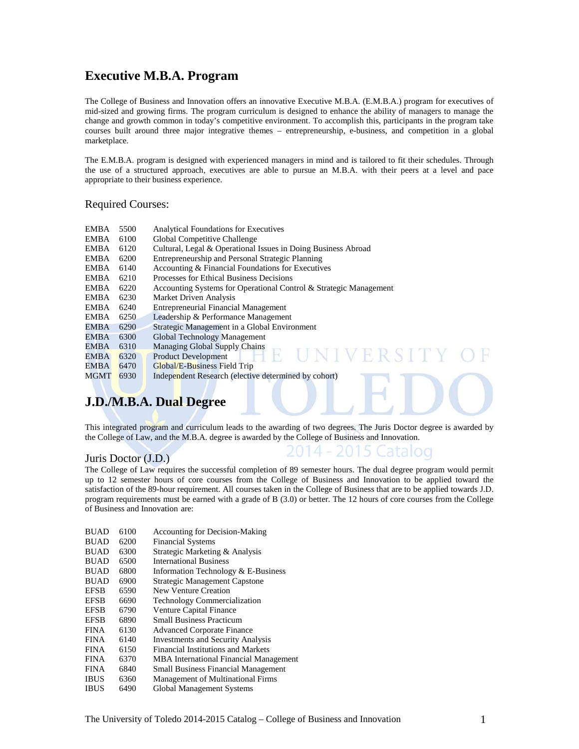### **Executive M.B.A. Program**

The College of Business and Innovation offers an innovative Executive M.B.A. (E.M.B.A.) program for executives of mid-sized and growing firms. The program curriculum is designed to enhance the ability of managers to manage the change and growth common in today's competitive environment. To accomplish this, participants in the program take courses built around three major integrative themes – entrepreneurship, e-business, and competition in a global marketplace.

The E.M.B.A. program is designed with experienced managers in mind and is tailored to fit their schedules. Through the use of a structured approach, executives are able to pursue an M.B.A. with their peers at a level and pace appropriate to their business experience.

#### Required Courses:

| EMBA        | 5500 | <b>Analytical Foundations for Executives</b>                      |
|-------------|------|-------------------------------------------------------------------|
| EMBA        | 6100 | Global Competitive Challenge                                      |
| EMBA        | 6120 | Cultural, Legal & Operational Issues in Doing Business Abroad     |
| EMBA        | 6200 | Entrepreneurship and Personal Strategic Planning                  |
| EMBA        | 6140 | Accounting & Financial Foundations for Executives                 |
| EMBA        | 6210 | Processes for Ethical Business Decisions                          |
| EMBA        | 6220 | Accounting Systems for Operational Control & Strategic Management |
| EMBA        | 6230 | Market Driven Analysis                                            |
| EMBA        | 6240 | <b>Entrepreneurial Financial Management</b>                       |
| EMBA        | 6250 | Leadership & Performance Management                               |
| EMBA        | 6290 | Strategic Management in a Global Environment                      |
| EMBA        | 6300 | Global Technology Management                                      |
| <b>EMBA</b> | 6310 | Managing Global Supply Chains                                     |
| EMBA        | 6320 | <b>IINIVERSITY</b><br><b>Product Development</b>                  |
| EMBA        | 6470 | Global/E-Business Field Trip                                      |
| <b>MGMT</b> | 6930 | Independent Research (elective determined by cohort)              |

### **J.D./M.B.A. Dual Degree**

This integrated program and curriculum leads to the awarding of two degrees. The Juris Doctor degree is awarded by the College of Law, and the M.B.A. degree is awarded by the College of Business and Innovation.

2014 - 2015 Catalog

#### Juris Doctor (J.D.)

The College of Law requires the successful completion of 89 semester hours. The dual degree program would permit up to 12 semester hours of core courses from the College of Business and Innovation to be applied toward the satisfaction of the 89-hour requirement. All courses taken in the College of Business that are to be applied towards J.D. program requirements must be earned with a grade of B (3.0) or better. The 12 hours of core courses from the College of Business and Innovation are:

| <b>BUAD</b> | 6100 | <b>Accounting for Decision-Making</b>         |
|-------------|------|-----------------------------------------------|
| <b>BUAD</b> | 6200 | <b>Financial Systems</b>                      |
| <b>BUAD</b> | 6300 | Strategic Marketing & Analysis                |
| <b>BUAD</b> | 6500 | <b>International Business</b>                 |
| <b>BUAD</b> | 6800 | Information Technology & E-Business           |
| <b>BUAD</b> | 6900 | <b>Strategic Management Capstone</b>          |
| <b>EFSB</b> | 6590 | New Venture Creation                          |
| <b>EFSB</b> | 6690 | <b>Technology Commercialization</b>           |
| <b>EFSB</b> | 6790 | <b>Venture Capital Finance</b>                |
| <b>EFSB</b> | 6890 | <b>Small Business Practicum</b>               |
| <b>FINA</b> | 6130 | <b>Advanced Corporate Finance</b>             |
| <b>FINA</b> | 6140 | <b>Investments and Security Analysis</b>      |
| <b>FINA</b> | 6150 | Financial Institutions and Markets            |
| <b>FINA</b> | 6370 | <b>MBA</b> International Financial Management |
| <b>FINA</b> | 6840 | <b>Small Business Financial Management</b>    |
| <b>IBUS</b> | 6360 | Management of Multinational Firms             |
| <b>IBUS</b> | 6490 | <b>Global Management Systems</b>              |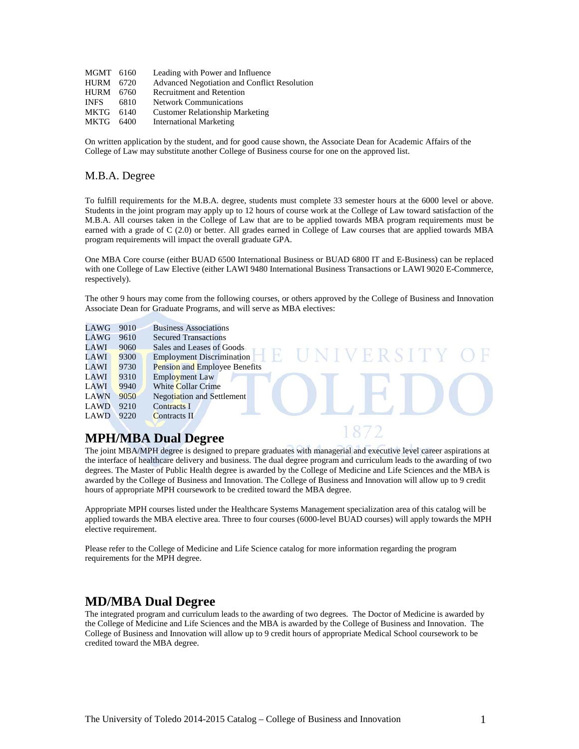| MGMT 6160 | Leading with Power and Influence             |
|-----------|----------------------------------------------|
| HURM 6720 | Advanced Negotiation and Conflict Resolution |
| HURM 6760 | <b>Recruitment and Retention</b>             |
| 6810      | <b>Network Communications</b>                |
| 6140      | <b>Customer Relationship Marketing</b>       |
| MKTG 6400 | <b>International Marketing</b>               |
|           |                                              |

On written application by the student, and for good cause shown, the Associate Dean for Academic Affairs of the College of Law may substitute another College of Business course for one on the approved list.

#### M.B.A. Degree

To fulfill requirements for the M.B.A. degree, students must complete 33 semester hours at the 6000 level or above. Students in the joint program may apply up to 12 hours of course work at the College of Law toward satisfaction of the M.B.A. All courses taken in the College of Law that are to be applied towards MBA program requirements must be earned with a grade of C (2.0) or better. All grades earned in College of Law courses that are applied towards MBA program requirements will impact the overall graduate GPA.

One MBA Core course (either BUAD 6500 International Business or BUAD 6800 IT and E-Business) can be replaced with one College of Law Elective (either LAWI 9480 International Business Transactions or LAWI 9020 E-Commerce, respectively).

The other 9 hours may come from the following courses, or others approved by the College of Business and Innovation Associate Dean for Graduate Programs, and will serve as MBA electives:

| LAWG        | 9010 | <b>Business Associations</b>      |
|-------------|------|-----------------------------------|
| LAWG        | 9610 | <b>Secured Transactions</b>       |
| LAWI        | 9060 | Sales and Leases of Goods         |
| LAWI        | 9300 | <b>Employment Discrimination</b>  |
| LAWI        | 9730 | Pension and Employee Benefits     |
| LAWI        | 9310 | <b>Employment Law</b>             |
| <b>LAWI</b> | 9940 | <b>White Collar Crime</b>         |
| LAWN        | 9050 | <b>Negotiation and Settlement</b> |
| LAWD        | 9210 | <b>Contracts I</b>                |
| LAWD        | 9220 | Contracts II                      |

### **MPH/MBA Dual Degree**

The joint MBA/MPH degree is designed to prepare graduates with managerial and executive level career aspirations at the interface of healthcare delivery and business. The dual degree program and curriculum leads to the awarding of two degrees. The Master of Public Health degree is awarded by the College of Medicine and Life Sciences and the MBA is awarded by the College of Business and Innovation. The College of Business and Innovation will allow up to 9 credit hours of appropriate MPH coursework to be credited toward the MBA degree.

Appropriate MPH courses listed under the Healthcare Systems Management specialization area of this catalog will be applied towards the MBA elective area. Three to four courses (6000-level BUAD courses) will apply towards the MPH elective requirement.

Please refer to the College of Medicine and Life Science catalog for more information regarding the program requirements for the MPH degree.

### **MD/MBA Dual Degree**

The integrated program and curriculum leads to the awarding of two degrees. The Doctor of Medicine is awarded by the College of Medicine and Life Sciences and the MBA is awarded by the College of Business and Innovation. The College of Business and Innovation will allow up to 9 credit hours of appropriate Medical School coursework to be credited toward the MBA degree.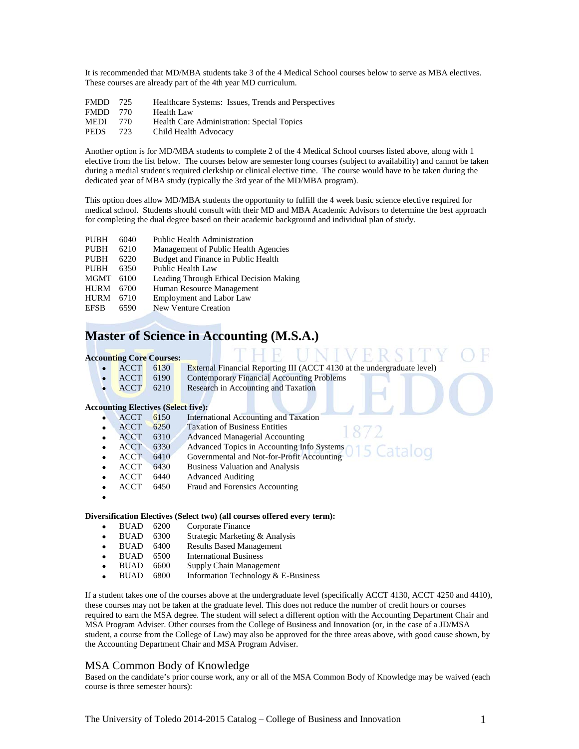It is recommended that MD/MBA students take 3 of the 4 Medical School courses below to serve as MBA electives. These courses are already part of the 4th year MD curriculum.

| <b>FMDD</b> | 725   | Healthcare Systems: Issues, Trends and Perspectives |
|-------------|-------|-----------------------------------------------------|
| <b>FMDD</b> | - 770 | <b>Health Law</b>                                   |
| <b>MEDI</b> | 770.  | Health Care Administration: Special Topics          |
| <b>PEDS</b> | 723   | Child Health Advocacy                               |

Another option is for MD/MBA students to complete 2 of the 4 Medical School courses listed above, along with 1 elective from the list below. The courses below are semester long courses (subject to availability) and cannot be taken during a medial student's required clerkship or clinical elective time. The course would have to be taken during the dedicated year of MBA study (typically the 3rd year of the MD/MBA program).

This option does allow MD/MBA students the opportunity to fulfill the 4 week basic science elective required for medical school. Students should consult with their MD and MBA Academic Advisors to determine the best approach for completing the dual degree based on their academic background and individual plan of study.

| PUBH<br>6040 | Public Health Administration |
|--------------|------------------------------|
|--------------|------------------------------|

- PUBH 6210 Management of Public Health Agencies<br>PUBH 6220 Budget and Finance in Public Health
- Budget and Finance in Public Health
- PUBH 6350 Public Health Law<br>MGMT 6100 Leading Through E
- MGMT 6100 Leading Through Ethical Decision Making<br>HURM 6700 Human Resource Management
- HURM 6700 Human Resource Management<br>HURM 6710 Employment and Labor Law
- HURM 6710 Employment and Labor Law<br>EFSB 6590 New Venture Creation
- New Venture Creation

### **Master of Science in Accounting (M.S.A.)**

#### **Accounting Core Courses:**

- ACCT 6130 External Financial Reporting III (ACCT 4130 at the undergraduate level)
	- ACCT 6190 Contemporary Financial Accounting Problems
	- **ACCT** 6210 Research in Accounting and Taxation

#### **Accounting Electives (Select five):**

| <b>ACCT</b> | 6150 | International Accounting and Taxation                                                                                |
|-------------|------|----------------------------------------------------------------------------------------------------------------------|
| <b>ACCT</b> | 6250 | <b>Taxation of Business Entities</b>                                                                                 |
| <b>ACCT</b> | 6310 | 18/2<br><b>Advanced Managerial Accounting</b>                                                                        |
| <b>ACCT</b> | 6330 | Advanced Topics in Accounting Info Systems 0 1 5 Catalog<br>Governmental and Not-for-Profit Accounting 0 1 5 Catalog |
| <b>ACCT</b> | 6410 |                                                                                                                      |
| ACCT        | 6430 | <b>Business Valuation and Analysis</b>                                                                               |
| ACCT        | 6440 | <b>Advanced Auditing</b>                                                                                             |
| ACCT        | 6450 | Fraud and Forensics Accounting                                                                                       |
|             |      |                                                                                                                      |
|             |      |                                                                                                                      |

#### **Diversification Electives (Select two) (all courses offered every term):**

- BUAD 6200 Corporate Finance
- BUAD 6300 Strategic Marketing & Analysis
- BUAD 6400 Results Based Management
- BUAD 6500 International Business
- BUAD 6600 Supply Chain Management
- BUAD 6800 Information Technology & E-Business

If a student takes one of the courses above at the undergraduate level (specifically ACCT 4130, ACCT 4250 and 4410), these courses may not be taken at the graduate level. This does not reduce the number of credit hours or courses required to earn the MSA degree. The student will select a different option with the Accounting Department Chair and MSA Program Adviser. Other courses from the College of Business and Innovation (or, in the case of a JD/MSA student, a course from the College of Law) may also be approved for the three areas above, with good cause shown, by the Accounting Department Chair and MSA Program Adviser.

#### MSA Common Body of Knowledge

Based on the candidate's prior course work, any or all of the MSA Common Body of Knowledge may be waived (each course is three semester hours):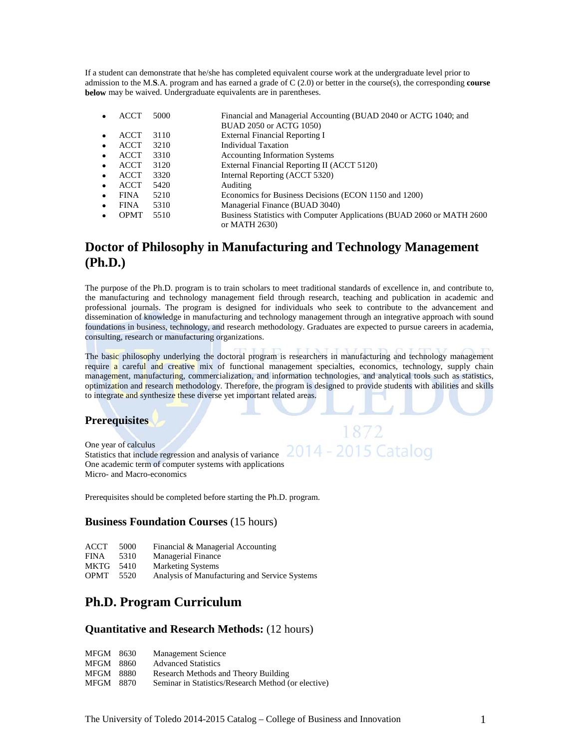If a student can demonstrate that he/she has completed equivalent course work at the undergraduate level prior to admission to the M.**S**.A. program and has earned a grade of C (2.0) or better in the course(s), the corresponding **course below** may be waived. Undergraduate equivalents are in parentheses.

|   | <b>ACCT</b> | 5000 | Financial and Managerial Accounting (BUAD 2040 or ACTG 1040; and<br>BUAD 2050 or ACTG 1050) |
|---|-------------|------|---------------------------------------------------------------------------------------------|
|   | <b>ACCT</b> | 3110 | <b>External Financial Reporting I</b>                                                       |
|   | <b>ACCT</b> | 3210 | <b>Individual Taxation</b>                                                                  |
|   | <b>ACCT</b> | 3310 | <b>Accounting Information Systems</b>                                                       |
|   | ACCT        | 3120 | External Financial Reporting II (ACCT 5120)                                                 |
|   | <b>ACCT</b> | 3320 | Internal Reporting (ACCT 5320)                                                              |
| ٠ | <b>ACCT</b> | 5420 | Auditing                                                                                    |
|   | <b>FINA</b> | 5210 | Economics for Business Decisions (ECON 1150 and 1200)                                       |
|   | <b>FINA</b> | 5310 | Managerial Finance (BUAD 3040)                                                              |
|   | <b>OPMT</b> | 5510 | Business Statistics with Computer Applications (BUAD 2060 or MATH 2600)<br>or MATH 2630)    |

### **Doctor of Philosophy in Manufacturing and Technology Management (Ph.D.)**

The purpose of the Ph.D. program is to train scholars to meet traditional standards of excellence in, and contribute to, the manufacturing and technology management field through research, teaching and publication in academic and professional journals. The program is designed for individuals who seek to contribute to the advancement and dissemination of knowledge in manufacturing and technology management through an integrative approach with sound foundations in business, technology, and research methodology. Graduates are expected to pursue careers in academia, consulting, research or manufacturing organizations.

The basic philosophy underlying the doctoral program is researchers in manufacturing and technology management require a careful and creative mix of functional management specialties, economics, technology, supply chain management, manufacturing, commercialization, and information technologies, and analytical tools such as statistics, optimization and research methodology. Therefore, the program is designed to provide students with abilities and skills to integrate and synthesize these diverse yet important related areas.

1872

#### **Prerequisites**

One year of calculus Statistics that include regression and analysis of variance One academic term of computer systems with applications Micro- and Macro-economics

Prerequisites should be completed before starting the Ph.D. program.

#### **Business Foundation Courses** (15 hours)

| ACCT | 5000 | Financial & Managerial Accounting |
|------|------|-----------------------------------|
|------|------|-----------------------------------|

| <b>FINA</b> | 5310 | Managerial Finance |
|-------------|------|--------------------|
|-------------|------|--------------------|

MKTG 5410 Marketing Systems<br>OPMT 5520 Analysis of Manufa

Analysis of Manufacturing and Service Systems

### **Ph.D. Program Curriculum**

#### **Quantitative and Research Methods:** (12 hours)

| MFGM 8630        |        | <b>Management Science</b>                           |
|------------------|--------|-----------------------------------------------------|
| <b>MFGM</b> 8860 |        | <b>Advanced Statistics</b>                          |
| MFGM             | - 8880 | Research Methods and Theory Building                |
| MFGM             | -8870  | Seminar in Statistics/Research Method (or elective) |